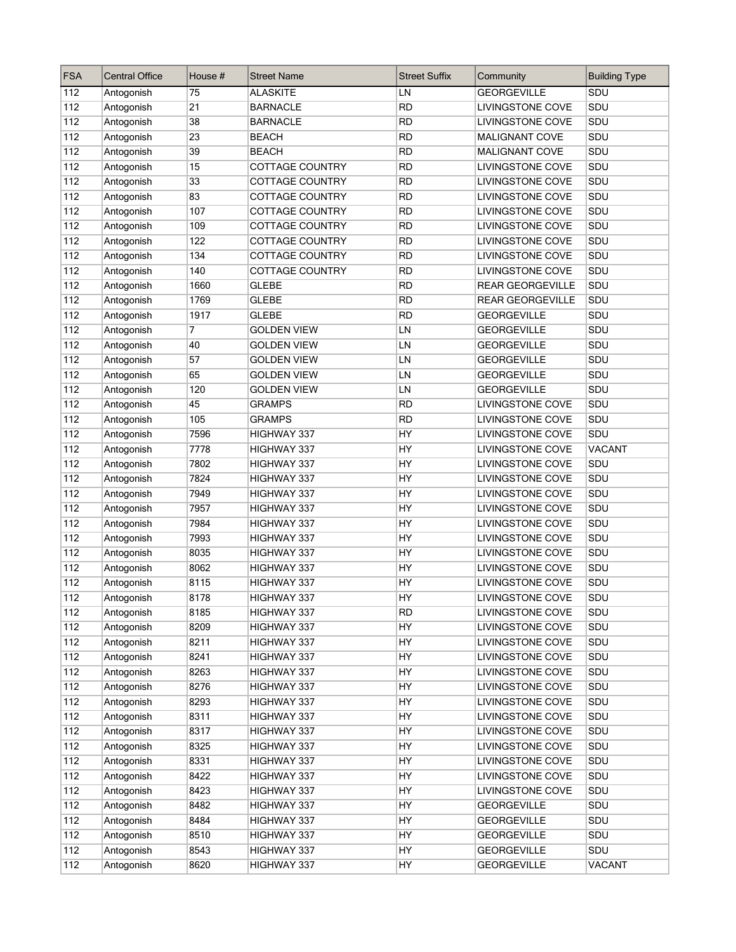| <b>FSA</b> | <b>Central Office</b> | House # | <b>Street Name</b>     | <b>Street Suffix</b> | Community               | <b>Building Type</b> |
|------------|-----------------------|---------|------------------------|----------------------|-------------------------|----------------------|
| 112        | Antogonish            | 75      | <b>ALASKITE</b>        | LN                   | <b>GEORGEVILLE</b>      | SDU                  |
| 112        | Antogonish            | 21      | <b>BARNACLE</b>        | <b>RD</b>            | <b>LIVINGSTONE COVE</b> | SDU                  |
| 112        | Antogonish            | 38      | <b>BARNACLE</b>        | <b>RD</b>            | LIVINGSTONE COVE        | SDU                  |
| 112        | Antogonish            | 23      | <b>BEACH</b>           | RD                   | <b>MALIGNANT COVE</b>   | SDU                  |
| 112        | Antogonish            | 39      | <b>BEACH</b>           | <b>RD</b>            | <b>MALIGNANT COVE</b>   | SDU                  |
| 112        | Antogonish            | 15      | <b>COTTAGE COUNTRY</b> | <b>RD</b>            | LIVINGSTONE COVE        | SDU                  |
| 112        | Antogonish            | 33      | COTTAGE COUNTRY        | <b>RD</b>            | LIVINGSTONE COVE        | SDU                  |
| 112        | Antogonish            | 83      | <b>COTTAGE COUNTRY</b> | <b>RD</b>            | <b>LIVINGSTONE COVE</b> | SDU                  |
| 112        | Antogonish            | 107     | <b>COTTAGE COUNTRY</b> | <b>RD</b>            | <b>LIVINGSTONE COVE</b> | SDU                  |
| 112        | Antogonish            | 109     | COTTAGE COUNTRY        | <b>RD</b>            | <b>LIVINGSTONE COVE</b> | SDU                  |
| 112        | Antogonish            | 122     | COTTAGE COUNTRY        | <b>RD</b>            | LIVINGSTONE COVE        | SDU                  |
| 112        | Antogonish            | 134     | COTTAGE COUNTRY        | <b>RD</b>            | LIVINGSTONE COVE        | SDU                  |
| 112        | Antogonish            | 140     | <b>COTTAGE COUNTRY</b> | <b>RD</b>            | LIVINGSTONE COVE        | SDU                  |
| 112        | Antogonish            | 1660    | <b>GLEBE</b>           | <b>RD</b>            | <b>REAR GEORGEVILLE</b> | SDU                  |
| 112        | Antogonish            | 1769    | <b>GLEBE</b>           | <b>RD</b>            | <b>REAR GEORGEVILLE</b> | SDU                  |
| 112        | Antogonish            | 1917    | <b>GLEBE</b>           | <b>RD</b>            | <b>GEORGEVILLE</b>      | SDU                  |
| 112        | Antogonish            | 7       | <b>GOLDEN VIEW</b>     | LN                   | <b>GEORGEVILLE</b>      | SDU                  |
| 112        | Antogonish            | 40      | <b>GOLDEN VIEW</b>     | LN                   | <b>GEORGEVILLE</b>      | SDU                  |
| 112        | Antogonish            | 57      | <b>GOLDEN VIEW</b>     | LN                   | <b>GEORGEVILLE</b>      | SDU                  |
| 112        | Antogonish            | 65      | <b>GOLDEN VIEW</b>     | LN                   | <b>GEORGEVILLE</b>      | SDU                  |
| 112        | Antogonish            | 120     | <b>GOLDEN VIEW</b>     | LN                   | <b>GEORGEVILLE</b>      | SDU                  |
| 112        | Antogonish            | 45      | <b>GRAMPS</b>          | <b>RD</b>            | <b>LIVINGSTONE COVE</b> | SDU                  |
| 112        | Antogonish            | 105     | <b>GRAMPS</b>          | <b>RD</b>            | LIVINGSTONE COVE        | SDU                  |
| 112        | Antogonish            | 7596    | HIGHWAY 337            | HY                   | <b>LIVINGSTONE COVE</b> | SDU                  |
| 112        | Antogonish            | 7778    | HIGHWAY 337            | HY                   | <b>LIVINGSTONE COVE</b> | <b>VACANT</b>        |
| 112        | Antogonish            | 7802    | HIGHWAY 337            | HY                   | LIVINGSTONE COVE        | SDU                  |
| 112        | Antogonish            | 7824    | HIGHWAY 337            | HY                   | LIVINGSTONE COVE        | SDU                  |
| 112        | Antogonish            | 7949    | HIGHWAY 337            | HY                   | LIVINGSTONE COVE        | SDU                  |
| 112        | Antogonish            | 7957    | HIGHWAY 337            | HY                   | LIVINGSTONE COVE        | SDU                  |
| 112        | Antogonish            | 7984    | HIGHWAY 337            | HY                   | <b>LIVINGSTONE COVE</b> | SDU                  |
| 112        | Antogonish            | 7993    | HIGHWAY 337            | HY                   | <b>LIVINGSTONE COVE</b> | SDU                  |
| 112        | Antogonish            | 8035    | HIGHWAY 337            | HY                   | LIVINGSTONE COVE        | SDU                  |
| 112        | Antogonish            | 8062    | HIGHWAY 337            | HY                   | LIVINGSTONE COVE        | SDU                  |
| 112        | Antogonish            | 8115    | HIGHWAY 337            | HY                   | <b>LIVINGSTONE COVE</b> | SDU                  |
| 112        | Antogonish            | 8178    | HIGHWAY 337            | HY                   | <b>LIVINGSTONE COVE</b> | SDU                  |
| 112        | Antogonish            | 8185    | <b>HIGHWAY 337</b>     | RD                   | <b>LIVINGSTONE COVE</b> | SDU                  |
| 112        | Antogonish            | 8209    | HIGHWAY 337            | HY                   | LIVINGSTONE COVE        | SDU                  |
| 112        | Antogonish            | 8211    | HIGHWAY 337            | HY                   | LIVINGSTONE COVE        | SDU                  |
| 112        | Antogonish            | 8241    | HIGHWAY 337            | HY                   | LIVINGSTONE COVE        | SDU                  |
| 112        | Antogonish            | 8263    | HIGHWAY 337            | HY                   | LIVINGSTONE COVE        | SDU                  |
| 112        | Antogonish            | 8276    | HIGHWAY 337            | HY                   | <b>LIVINGSTONE COVE</b> | SDU                  |
| 112        | Antogonish            | 8293    | HIGHWAY 337            | HY                   | <b>LIVINGSTONE COVE</b> | SDU                  |
| 112        | Antogonish            | 8311    | HIGHWAY 337            | <b>HY</b>            | LIVINGSTONE COVE        | SDU                  |
| 112        | Antogonish            | 8317    | HIGHWAY 337            | HY                   | LIVINGSTONE COVE        | SDU                  |
| 112        | Antogonish            | 8325    | HIGHWAY 337            | HY                   | LIVINGSTONE COVE        | SDU                  |
| 112        | Antogonish            | 8331    | HIGHWAY 337            | HY                   | <b>LIVINGSTONE COVE</b> | SDU                  |
| 112        | Antogonish            | 8422    | HIGHWAY 337            | HY                   | LIVINGSTONE COVE        | SDU                  |
| 112        | Antogonish            | 8423    | HIGHWAY 337            | HY                   | LIVINGSTONE COVE        | SDU                  |
| 112        | Antogonish            | 8482    | HIGHWAY 337            | HY                   | <b>GEORGEVILLE</b>      | SDU                  |
| 112        | Antogonish            | 8484    | HIGHWAY 337            | HY                   | <b>GEORGEVILLE</b>      | SDU                  |
| 112        | Antogonish            | 8510    | HIGHWAY 337            | HY                   | <b>GEORGEVILLE</b>      | SDU                  |
| 112        | Antogonish            | 8543    | HIGHWAY 337            | HY                   | <b>GEORGEVILLE</b>      | SDU                  |
| 112        | Antogonish            | 8620    | HIGHWAY 337            | HY                   | <b>GEORGEVILLE</b>      | <b>VACANT</b>        |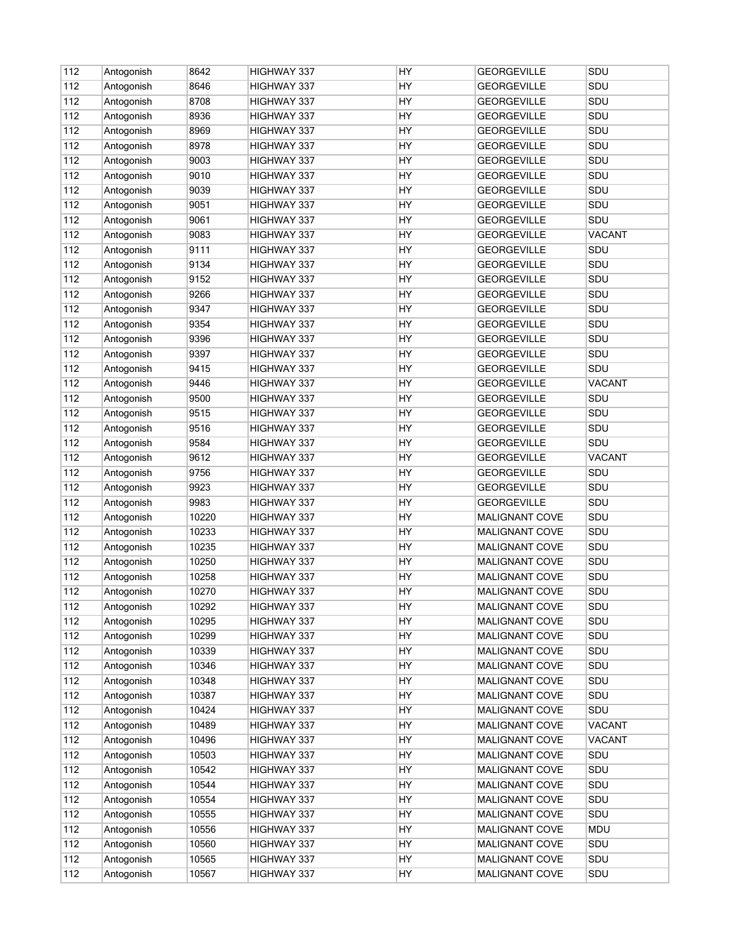| 112 | Antogonish               | 8642  | <b>HIGHWAY 337</b>         | HY        | <b>GEORGEVILLE</b>                      | SDU               |
|-----|--------------------------|-------|----------------------------|-----------|-----------------------------------------|-------------------|
| 112 | Antogonish               | 8646  | HIGHWAY 337                | HY        | <b>GEORGEVILLE</b>                      | SDU               |
| 112 | Antogonish               | 8708  | <b>HIGHWAY 337</b>         | HY        | <b>GEORGEVILLE</b>                      | SDU               |
| 112 | Antogonish               | 8936  | <b>HIGHWAY 337</b>         | HY        | <b>GEORGEVILLE</b>                      | SDU               |
| 112 | Antogonish               | 8969  | <b>HIGHWAY 337</b>         | <b>HY</b> | GEORGEVILLE                             | SDU               |
| 112 | Antogonish               | 8978  | HIGHWAY 337                | HY        | <b>GEORGEVILLE</b>                      | SDU               |
| 112 | Antogonish               | 9003  | HIGHWAY 337                | HY        | <b>GEORGEVILLE</b>                      | SDU               |
| 112 | Antogonish               | 9010  | HIGHWAY 337                | HY        | <b>GEORGEVILLE</b>                      | SDU               |
| 112 | Antogonish               | 9039  | HIGHWAY 337                | HY        | <b>GEORGEVILLE</b>                      | SDU               |
| 112 | Antogonish               | 9051  | HIGHWAY 337                | HY        | <b>GEORGEVILLE</b>                      | SDU               |
| 112 | Antogonish               | 9061  | HIGHWAY 337                | HY        | <b>GEORGEVILLE</b>                      | SDU               |
| 112 | Antogonish               | 9083  | HIGHWAY 337                | HY        | <b>GEORGEVILLE</b>                      | <b>VACANT</b>     |
| 112 | Antogonish               | 9111  | HIGHWAY 337                | HY.       | <b>GEORGEVILLE</b>                      | SDU               |
| 112 | Antogonish               | 9134  | HIGHWAY 337                | HY.       | <b>GEORGEVILLE</b>                      | SDU               |
| 112 | Antogonish               | 9152  | HIGHWAY 337                | HY        | <b>GEORGEVILLE</b>                      | SDU               |
| 112 | Antogonish               | 9266  | HIGHWAY 337                | HY        | <b>GEORGEVILLE</b>                      | SDU               |
| 112 | Antogonish               | 9347  | HIGHWAY 337                | HY        | <b>GEORGEVILLE</b>                      | SDU               |
| 112 | Antogonish               | 9354  | HIGHWAY 337                | HY        | <b>GEORGEVILLE</b>                      | SDU               |
| 112 | Antogonish               | 9396  | HIGHWAY 337                | HY        | <b>GEORGEVILLE</b>                      | SDU               |
| 112 | Antogonish               | 9397  | HIGHWAY 337                | HY        | <b>GEORGEVILLE</b>                      | SDU               |
| 112 | Antogonish               | 9415  | <b>HIGHWAY 337</b>         | HY        | <b>GEORGEVILLE</b>                      | SDU               |
| 112 | Antogonish               | 9446  | HIGHWAY 337                | HY        | <b>GEORGEVILLE</b>                      | <b>VACANT</b>     |
| 112 | Antogonish               | 9500  | HIGHWAY 337                | HY        | <b>GEORGEVILLE</b>                      | SDU               |
| 112 | Antogonish               | 9515  | HIGHWAY 337                | HY        | <b>GEORGEVILLE</b>                      | SDU               |
| 112 | Antogonish               | 9516  | HIGHWAY 337                | HY        | <b>GEORGEVILLE</b>                      | SDU               |
| 112 | Antogonish               | 9584  | HIGHWAY 337                | HY        | <b>GEORGEVILLE</b>                      | SDU               |
| 112 | Antogonish               | 9612  | HIGHWAY 337                | HY        | <b>GEORGEVILLE</b>                      | <b>VACANT</b>     |
| 112 | Antogonish               | 9756  | HIGHWAY 337                | HY        | <b>GEORGEVILLE</b>                      | SDU               |
| 112 | Antogonish               | 9923  | HIGHWAY 337                | HY        | <b>GEORGEVILLE</b>                      | SDU               |
| 112 | Antogonish               | 9983  | HIGHWAY 337                | HY.       | <b>GEORGEVILLE</b>                      | SDU               |
| 112 | Antogonish               | 10220 | HIGHWAY 337                | HY        | MALIGNANT COVE                          | SDU               |
| 112 | Antogonish               | 10233 | HIGHWAY 337                | HY        | MALIGNANT COVE                          | SDU               |
| 112 | Antogonish               | 10235 | HIGHWAY 337                | HY        | MALIGNANT COVE                          | SDU               |
| 112 | Antogonish               | 10250 | <b>HIGHWAY 337</b>         | HY        | <b>MALIGNANT COVE</b>                   | SDU               |
| 112 | Antogonish               | 10258 | HIGHWAY 337                | HY        | <b>MALIGNANT COVE</b>                   | SDU               |
| 112 | Antogonish               | 10270 | HIGHWAY 337                | HY        | <b>MALIGNANT COVE</b>                   | SDU               |
| 112 | Antogonish               | 10292 | HIGHWAY 337                | <b>HY</b> | <b>MALIGNANT COVE</b>                   | SDU               |
| 112 |                          | 10295 |                            | HY        |                                         | SDU               |
| 112 | Antogonish<br>Antogonish | 10299 | HIGHWAY 337<br>HIGHWAY 337 | HY        | <b>MALIGNANT COVE</b><br>MALIGNANT COVE | SDU               |
|     |                          |       |                            |           |                                         |                   |
| 112 | Antogonish               | 10339 | HIGHWAY 337                | HY        | MALIGNANT COVE                          | SDU<br><b>SDU</b> |
| 112 | Antogonish               | 10346 | HIGHWAY 337                | HY<br>HY  | <b>MALIGNANT COVE</b>                   | SDU               |
| 112 | Antogonish               | 10348 | HIGHWAY 337                |           | <b>MALIGNANT COVE</b>                   |                   |
| 112 | Antogonish               | 10387 | HIGHWAY 337                | HY        | <b>MALIGNANT COVE</b>                   | SDU               |
| 112 | Antogonish               | 10424 | HIGHWAY 337                | HY        | <b>MALIGNANT COVE</b>                   | SDU               |
| 112 | Antogonish               | 10489 | HIGHWAY 337                | HY        | <b>MALIGNANT COVE</b>                   | <b>VACANT</b>     |
| 112 | Antogonish               | 10496 | HIGHWAY 337                | HY        | <b>MALIGNANT COVE</b>                   | VACANT            |
| 112 | Antogonish               | 10503 | HIGHWAY 337                | HY        | <b>MALIGNANT COVE</b>                   | SDU               |
| 112 | Antogonish               | 10542 | HIGHWAY 337                | HY        | <b>MALIGNANT COVE</b>                   | SDU               |
| 112 | Antogonish               | 10544 | HIGHWAY 337                | HY        | <b>MALIGNANT COVE</b>                   | SDU               |
| 112 | Antogonish               | 10554 | HIGHWAY 337                | HY        | <b>MALIGNANT COVE</b>                   | SDU               |
| 112 | Antogonish               | 10555 | HIGHWAY 337                | HY        | <b>MALIGNANT COVE</b>                   | SDU               |
| 112 | Antogonish               | 10556 | HIGHWAY 337                | HY        | <b>MALIGNANT COVE</b>                   | <b>MDU</b>        |
| 112 | Antogonish               | 10560 | HIGHWAY 337                | HY        | <b>MALIGNANT COVE</b>                   | SDU               |
| 112 | Antogonish               | 10565 | HIGHWAY 337                | HY        | <b>MALIGNANT COVE</b>                   | SDU               |
| 112 | Antogonish               | 10567 | HIGHWAY 337                | HY        | MALIGNANT COVE                          | SDU               |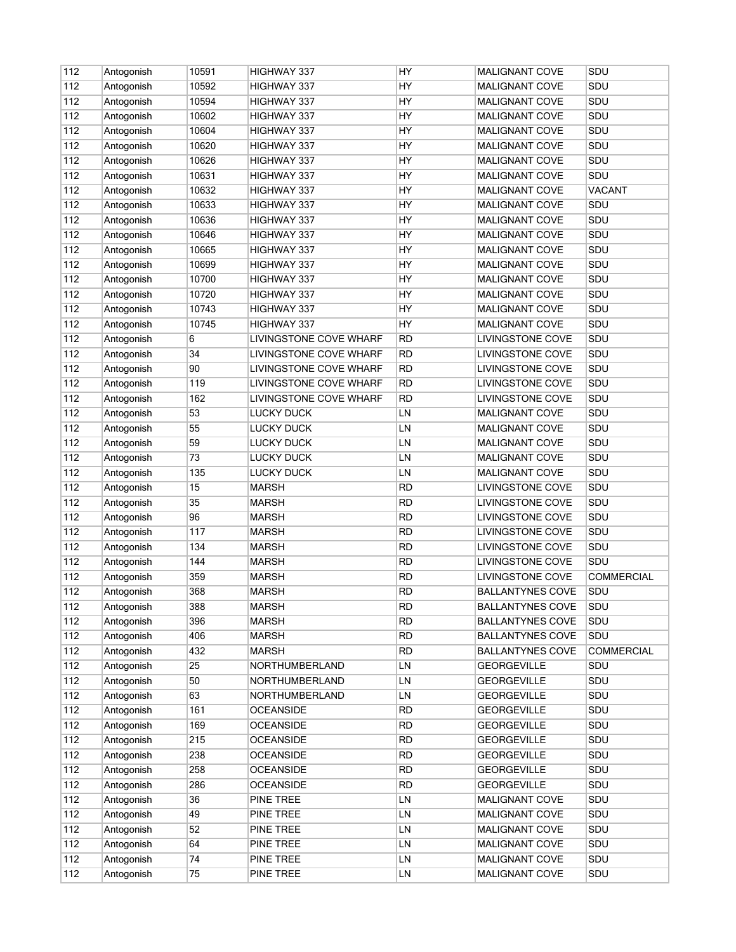| 112 | Antogonish | 10591 | <b>HIGHWAY 337</b>     | HY        | <b>MALIGNANT COVE</b>   | SDU           |
|-----|------------|-------|------------------------|-----------|-------------------------|---------------|
| 112 | Antogonish | 10592 | HIGHWAY 337            | HY        | <b>MALIGNANT COVE</b>   | SDU           |
| 112 | Antogonish | 10594 | HIGHWAY 337            | HY        | <b>MALIGNANT COVE</b>   | SDU           |
| 112 | Antogonish | 10602 | <b>HIGHWAY 337</b>     | HY        | MALIGNANT COVE          | SDU           |
| 112 | Antogonish | 10604 | HIGHWAY 337            | HY.       | <b>MALIGNANT COVE</b>   | SDU           |
| 112 | Antogonish | 10620 | HIGHWAY 337            | HY        | MALIGNANT COVE          | SDU           |
| 112 | Antogonish | 10626 | HIGHWAY 337            | HY        | MALIGNANT COVE          | SDU           |
| 112 | Antogonish | 10631 | HIGHWAY 337            | HY        | <b>MALIGNANT COVE</b>   | SDU           |
| 112 | Antogonish | 10632 | HIGHWAY 337            | HY        | <b>MALIGNANT COVE</b>   | <b>VACANT</b> |
| 112 | Antogonish | 10633 | HIGHWAY 337            | HY        | <b>MALIGNANT COVE</b>   | SDU           |
| 112 | Antogonish | 10636 | HIGHWAY 337            | HY        | <b>MALIGNANT COVE</b>   | SDU           |
| 112 | Antogonish | 10646 | HIGHWAY 337            | HY        | MALIGNANT COVE          | SDU           |
| 112 | Antogonish | 10665 | HIGHWAY 337            | HY.       | <b>MALIGNANT COVE</b>   | SDU           |
| 112 | Antogonish | 10699 | HIGHWAY 337            | HY.       | <b>MALIGNANT COVE</b>   | SDU           |
| 112 | Antogonish | 10700 | HIGHWAY 337            | HY        | MALIGNANT COVE          | SDU           |
| 112 | Antogonish | 10720 | HIGHWAY 337            | HY        | <b>MALIGNANT COVE</b>   | SDU           |
| 112 | Antogonish | 10743 | HIGHWAY 337            | HY        | <b>MALIGNANT COVE</b>   | SDU           |
| 112 | Antogonish | 10745 | HIGHWAY 337            | HY        | <b>MALIGNANT COVE</b>   | SDU           |
| 112 | Antogonish | 6     | LIVINGSTONE COVE WHARF | RD        | LIVINGSTONE COVE        | SDU           |
| 112 | Antogonish | 34    | LIVINGSTONE COVE WHARF | RD        | LIVINGSTONE COVE        | SDU           |
| 112 | Antogonish | 90    | LIVINGSTONE COVE WHARF | <b>RD</b> | LIVINGSTONE COVE        | SDU           |
| 112 | Antogonish | 119   | LIVINGSTONE COVE WHARF | <b>RD</b> | LIVINGSTONE COVE        | SDU           |
| 112 | Antogonish | 162   | LIVINGSTONE COVE WHARF | <b>RD</b> | LIVINGSTONE COVE        | SDU           |
| 112 | Antogonish | 53    | <b>LUCKY DUCK</b>      | LN        | <b>MALIGNANT COVE</b>   | SDU           |
| 112 | Antogonish | 55    | LUCKY DUCK             | LN        | <b>MALIGNANT COVE</b>   | SDU           |
| 112 | Antogonish | 59    | <b>LUCKY DUCK</b>      | LN        | MALIGNANT COVE          | SDU           |
| 112 | Antogonish | 73    | <b>LUCKY DUCK</b>      | LN        | <b>MALIGNANT COVE</b>   | SDU           |
| 112 | Antogonish | 135   | <b>LUCKY DUCK</b>      | LN        | MALIGNANT COVE          | SDU           |
| 112 | Antogonish | 15    | <b>MARSH</b>           | <b>RD</b> | LIVINGSTONE COVE        | SDU           |
| 112 | Antogonish | 35    | <b>MARSH</b>           | <b>RD</b> | LIVINGSTONE COVE        | SDU           |
| 112 | Antogonish | 96    | <b>MARSH</b>           | <b>RD</b> | LIVINGSTONE COVE        | SDU           |
| 112 | Antogonish | 117   | <b>MARSH</b>           | <b>RD</b> | LIVINGSTONE COVE        | SDU           |
| 112 | Antogonish | 134   | <b>MARSH</b>           | <b>RD</b> | LIVINGSTONE COVE        | SDU           |
| 112 | Antogonish | 144   | <b>MARSH</b>           | <b>RD</b> | LIVINGSTONE COVE        | SDU           |
| 112 | Antogonish | 359   | <b>MARSH</b>           | RD        | <b>LIVINGSTONE COVE</b> | COMMERCIAL    |
| 112 | Antogonish | 368   | <b>MARSH</b>           | RD        | <b>BALLANTYNES COVE</b> | SDU           |
| 112 | Antogonish | 388   | <b>MARSH</b>           | <b>RD</b> | <b>BALLANTYNES COVE</b> | SDU           |
| 112 | Antogonish | 396   | <b>MARSH</b>           | RD        | <b>BALLANTYNES COVE</b> | SDU           |
| 112 | Antogonish | 406   | <b>MARSH</b>           | <b>RD</b> | <b>BALLANTYNES COVE</b> | SDU           |
| 112 |            | 432   | <b>MARSH</b>           | <b>RD</b> | <b>BALLANTYNES COVE</b> | COMMERCIAL    |
| 112 | Antogonish | 25    | NORTHUMBERLAND         | LN        | <b>GEORGEVILLE</b>      | SDU           |
| 112 | Antogonish | 50    | NORTHUMBERLAND         | LN        | <b>GEORGEVILLE</b>      | SDU           |
| 112 | Antogonish |       |                        |           |                         | SDU           |
|     | Antogonish | 63    | NORTHUMBERLAND         | LN        | <b>GEORGEVILLE</b>      |               |
| 112 | Antogonish | 161   | <b>OCEANSIDE</b>       | <b>RD</b> | <b>GEORGEVILLE</b>      | SDU           |
| 112 | Antogonish | 169   | <b>OCEANSIDE</b>       | <b>RD</b> | <b>GEORGEVILLE</b>      | SDU           |
| 112 | Antogonish | 215   | <b>OCEANSIDE</b>       | <b>RD</b> | <b>GEORGEVILLE</b>      | SDU           |
| 112 | Antogonish | 238   | <b>OCEANSIDE</b>       | <b>RD</b> | <b>GEORGEVILLE</b>      | SDU           |
| 112 | Antogonish | 258   | <b>OCEANSIDE</b>       | <b>RD</b> | <b>GEORGEVILLE</b>      | SDU           |
| 112 | Antogonish | 286   | <b>OCEANSIDE</b>       | RD        | <b>GEORGEVILLE</b>      | SDU           |
| 112 | Antogonish | 36    | PINE TREE              | LN        | <b>MALIGNANT COVE</b>   | SDU           |
| 112 | Antogonish | 49    | PINE TREE              | LN        | MALIGNANT COVE          | SDU           |
| 112 | Antogonish | 52    | PINE TREE              | LN        | <b>MALIGNANT COVE</b>   | SDU           |
| 112 | Antogonish | 64    | PINE TREE              | LN        | <b>MALIGNANT COVE</b>   | SDU           |
| 112 | Antogonish | 74    | PINE TREE              | LN        | <b>MALIGNANT COVE</b>   | SDU           |
| 112 | Antogonish | 75    | PINE TREE              | LN        | MALIGNANT COVE          | SDU           |